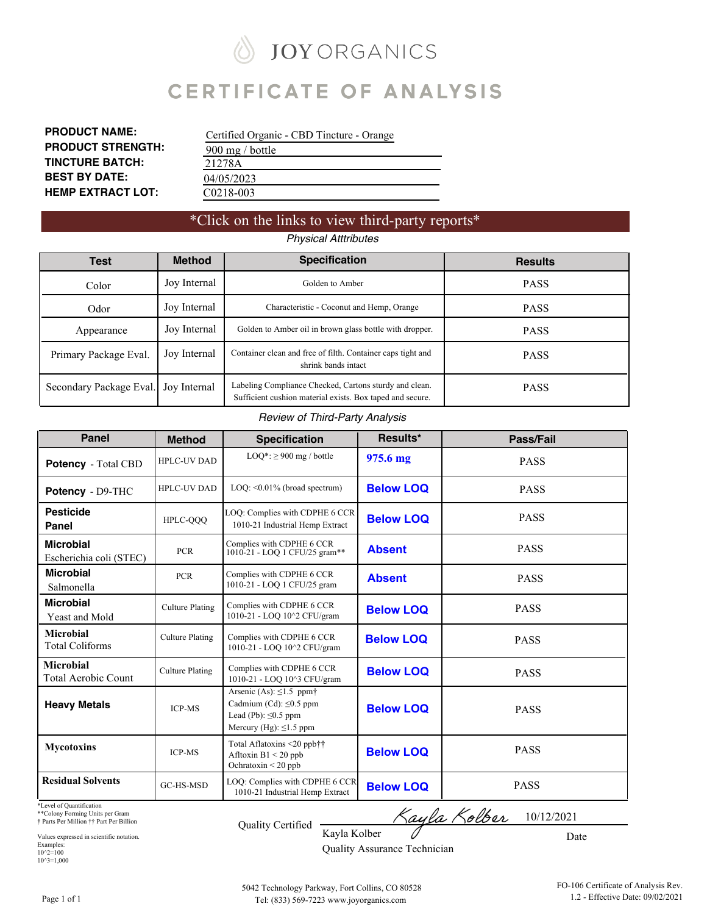# **JOY ORGANICS**  $\lambda$

# **CERTIFICATE OF ANALYSIS**

| <b>PRODUCT NAME:</b>     |
|--------------------------|
| <b>PRODUCT STRENGTH:</b> |
| <b>TINCTURE BATCH:</b>   |
| <b>BEST BY DATE:</b>     |
| <b>HEMP EXTRACT LOT:</b> |

| Certified Organic - CBD Tincture - Orange |
|-------------------------------------------|
| $900 \text{ mg}$ / bottle                 |
| 21278A                                    |
| 04/05/2023                                |
| C0218-003                                 |

### \*Click on the links to view third-party reports\* *Physical Atttributes*

| Test                    | <b>Method</b> | <b>Specification</b>                                                                                                | <b>Results</b> |
|-------------------------|---------------|---------------------------------------------------------------------------------------------------------------------|----------------|
| Color                   | Joy Internal  | Golden to Amber                                                                                                     | <b>PASS</b>    |
| Odor                    | Joy Internal  | Characteristic - Coconut and Hemp, Orange                                                                           | <b>PASS</b>    |
| Appearance              | Joy Internal  | Golden to Amber oil in brown glass bottle with dropper.                                                             | <b>PASS</b>    |
| Primary Package Eval.   | Joy Internal  | Container clean and free of filth. Container caps tight and<br>shrink bands intact                                  | <b>PASS</b>    |
| Secondary Package Eval. | Joy Internal  | Labeling Compliance Checked, Cartons sturdy and clean.<br>Sufficient cushion material exists. Box taped and secure. | <b>PASS</b>    |

#### *Review of Third-Party Analysis*

| <b>Panel</b>                                   | <b>Method</b>          | <b>Specification</b>                                                                                                                   | Results*           | Pass/Fail   |
|------------------------------------------------|------------------------|----------------------------------------------------------------------------------------------------------------------------------------|--------------------|-------------|
| <b>Potency</b> - Total CBD                     | <b>HPLC-UV DAD</b>     | $\text{LOQ}^*$ : $\geq 900$ mg / bottle                                                                                                | $975.6 \text{ mg}$ | <b>PASS</b> |
| Potency - D9-THC                               | <b>HPLC-UV DAD</b>     | $LOQ: \leq 0.01\%$ (broad spectrum)                                                                                                    | <b>Below LOQ</b>   | <b>PASS</b> |
| <b>Pesticide</b><br>Panel                      | HPLC-QQQ               | LOQ: Complies with CDPHE 6 CCR<br>1010-21 Industrial Hemp Extract                                                                      | <b>Below LOQ</b>   | <b>PASS</b> |
| <b>Microbial</b><br>Escherichia coli (STEC)    | <b>PCR</b>             | Complies with CDPHE 6 CCR<br>1010-21 - LOQ 1 CFU/25 gram**                                                                             | <b>Absent</b>      | <b>PASS</b> |
| <b>Microbial</b><br>Salmonella                 | <b>PCR</b>             | Complies with CDPHE 6 CCR<br>1010-21 - LOQ 1 CFU/25 gram                                                                               | <b>Absent</b>      | <b>PASS</b> |
| <b>Microbial</b><br>Yeast and Mold             | <b>Culture Plating</b> | Complies with CDPHE 6 CCR<br>1010-21 - LOQ 10^2 CFU/gram                                                                               | <b>Below LOQ</b>   | <b>PASS</b> |
| Microbial<br><b>Total Coliforms</b>            | <b>Culture Plating</b> | Complies with CDPHE 6 CCR<br>1010-21 - LOO 10^2 CFU/gram                                                                               | <b>Below LOQ</b>   | <b>PASS</b> |
| <b>Microbial</b><br><b>Total Aerobic Count</b> | <b>Culture Plating</b> | Complies with CDPHE 6 CCR<br>1010-21 - LOQ 10^3 CFU/gram                                                                               | <b>Below LOO</b>   | <b>PASS</b> |
| <b>Heavy Metals</b>                            | <b>ICP-MS</b>          | Arsenic (As): $\leq$ 1.5 ppm <sup>+</sup><br>Cadmium (Cd): $\leq 0.5$ ppm<br>Lead (Pb): $\leq 0.5$ ppm<br>Mercury (Hg): $\leq$ 1.5 ppm | <b>Below LOQ</b>   | <b>PASS</b> |
| <b>Mycotoxins</b>                              | <b>ICP-MS</b>          | Total Aflatoxins <20 ppb††<br>Afltoxin B1 < 20 ppb<br>Ochratoxin < 20 ppb                                                              | <b>Below LOQ</b>   | <b>PASS</b> |
| <b>Residual Solvents</b>                       | GC-HS-MSD              | LOQ: Complies with CDPHE 6 CCR<br>1010-21 Industrial Hemp Extract                                                                      | <b>Below LOQ</b>   | <b>PASS</b> |

\*Level of Quantification

\*\*Colony Forming Units per Gram † Parts Per Million †† Part Per Billion

Values expressed in scientific notation. Examples:<br>10^2=100<br>10^3=1,000

Kayla Kolber Quality Assurance Technician

Date

Kayla Kolber 10/12/2021

Quality Certified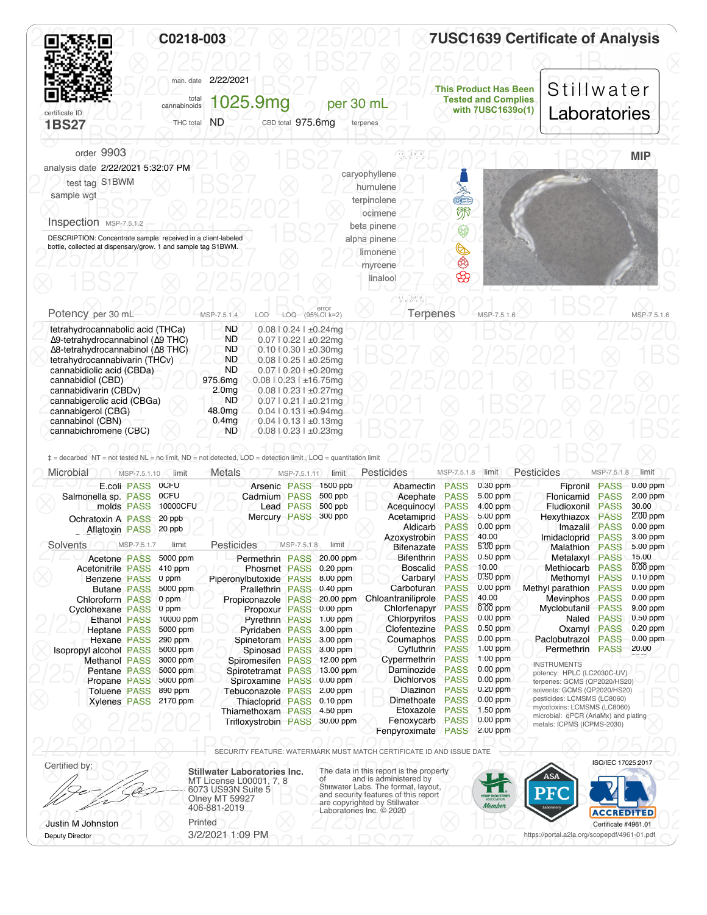<span id="page-1-0"></span>

|                                                                                                                                                               | C0218-003                                 |                                               |                                                                                                         |                                          |                                                                                                                 |                                                                  |                                                                                   | <b>7USC1639 Certificate of Analysis</b>                                                     |                                                          |                                                                                |
|---------------------------------------------------------------------------------------------------------------------------------------------------------------|-------------------------------------------|-----------------------------------------------|---------------------------------------------------------------------------------------------------------|------------------------------------------|-----------------------------------------------------------------------------------------------------------------|------------------------------------------------------------------|-----------------------------------------------------------------------------------|---------------------------------------------------------------------------------------------|----------------------------------------------------------|--------------------------------------------------------------------------------|
|                                                                                                                                                               | man. date                                 | 2/22/2021                                     |                                                                                                         |                                          |                                                                                                                 |                                                                  | <b>This Product Has Been</b>                                                      | Stillwater                                                                                  |                                                          |                                                                                |
|                                                                                                                                                               | total<br>cannabinoids                     | 1025.9mg                                      |                                                                                                         |                                          | per 30 mL                                                                                                       |                                                                  | <b>Tested and Complies</b><br>with 7USC1639o(1)                                   |                                                                                             |                                                          |                                                                                |
| certificate ID<br><b>1BS27</b>                                                                                                                                | THC total                                 | <b>ND</b>                                     | CBD total 975.6mg                                                                                       |                                          | terpenes                                                                                                        |                                                                  |                                                                                   | Laboratories                                                                                |                                                          |                                                                                |
| order <sub>.</sub> 9903                                                                                                                                       |                                           |                                               |                                                                                                         |                                          |                                                                                                                 |                                                                  |                                                                                   |                                                                                             |                                                          | <b>MIP</b>                                                                     |
| analysis date 2/22/2021 5:32:07 PM                                                                                                                            |                                           |                                               |                                                                                                         |                                          | caryophyllene                                                                                                   |                                                                  |                                                                                   |                                                                                             |                                                          |                                                                                |
| test tag S1BWM<br>sample wgt                                                                                                                                  |                                           |                                               |                                                                                                         |                                          | humulene                                                                                                        | 美洲美                                                              |                                                                                   |                                                                                             |                                                          |                                                                                |
|                                                                                                                                                               |                                           |                                               |                                                                                                         |                                          | terpinolene<br>ocimene                                                                                          |                                                                  |                                                                                   |                                                                                             |                                                          |                                                                                |
| Inspection MSP-7.5.1.2                                                                                                                                        |                                           |                                               |                                                                                                         |                                          | beta pinene                                                                                                     |                                                                  |                                                                                   |                                                                                             |                                                          |                                                                                |
| DESCRIPTION: Concentrate sample received in a client-labeled                                                                                                  |                                           |                                               |                                                                                                         |                                          | alpha pinene                                                                                                    | ନ୍ତି                                                             |                                                                                   |                                                                                             |                                                          |                                                                                |
| bottle, collected at dispensary/grow. 1 and sample tag S1BWM.                                                                                                 |                                           |                                               |                                                                                                         |                                          | limonene                                                                                                        | G                                                                |                                                                                   |                                                                                             |                                                          |                                                                                |
|                                                                                                                                                               |                                           |                                               |                                                                                                         |                                          | myrcene                                                                                                         | $\bigoplus^{\text{op}}$                                          |                                                                                   |                                                                                             |                                                          |                                                                                |
|                                                                                                                                                               |                                           |                                               |                                                                                                         |                                          | linalool                                                                                                        |                                                                  |                                                                                   |                                                                                             |                                                          |                                                                                |
| Potency per 30 mL                                                                                                                                             |                                           | MSP-7.5.1.4                                   | LOD<br><b>LOQ</b>                                                                                       | error<br>(95%Cl k=2)                     | Terpenes                                                                                                        |                                                                  | MSP-7.5.1.6                                                                       |                                                                                             |                                                          | MSP-7.5.1.6                                                                    |
| tetrahydrocannabolic acid (THCa)<br>Δ9-tetrahydrocannabinol (Δ9 THC)                                                                                          |                                           | <b>ND</b><br>ND                               | $0.08$   0.24   $\pm 0.24$ mg<br>$0.07$   $0.22$   $\pm 0.22$ mg                                        |                                          |                                                                                                                 |                                                                  |                                                                                   |                                                                                             |                                                          |                                                                                |
| Δ8-tetrahydrocannabinol (Δ8 THC)                                                                                                                              |                                           | ND                                            | $0.10$   0.30   $\pm 0.30$ mg                                                                           |                                          |                                                                                                                 |                                                                  |                                                                                   |                                                                                             |                                                          |                                                                                |
| tetrahydrocannabivarin (THCv)                                                                                                                                 |                                           | <b>ND</b>                                     | $0.08$   0.25   $\pm 0.25$ mg                                                                           |                                          |                                                                                                                 |                                                                  |                                                                                   |                                                                                             |                                                          |                                                                                |
| cannabidiolic acid (CBDa)<br>cannabidiol (CBD)                                                                                                                |                                           | ND<br>975.6mg                                 | $0.07$   $0.20$   $\pm 0.20$ mg<br>$0.08$   0.23   $\pm$ 16.75mg                                        |                                          |                                                                                                                 |                                                                  |                                                                                   |                                                                                             |                                                          |                                                                                |
| cannabidivarin (CBDv)                                                                                                                                         |                                           | 2.0 <sub>mg</sub>                             | $0.08$   0.23   $\pm 0.27$ mg                                                                           |                                          |                                                                                                                 |                                                                  |                                                                                   |                                                                                             |                                                          |                                                                                |
| cannabigerolic acid (CBGa)<br>cannabigerol (CBG)                                                                                                              |                                           | ND<br>48.0mg                                  | $0.07$   $0.21$   $\pm 0.21$ mg<br>$0.04$   0.13   $\pm 0.94$ mg                                        |                                          |                                                                                                                 |                                                                  |                                                                                   |                                                                                             |                                                          |                                                                                |
| cannabinol (CBN)                                                                                                                                              |                                           | 0.4 <sub>mg</sub>                             |                                                                                                         |                                          |                                                                                                                 |                                                                  |                                                                                   |                                                                                             |                                                          |                                                                                |
| cannabichromene (CBC)<br>$\ddagger$ = decarbed NT = not tested NL = no limit, ND = not detected, LOD = detection limit, LOQ = quantitation limit<br>Microbial | MSP-7.5.1.10<br>limit<br>E.coli PASS OCFU | ND<br>Metals                                  | $0.04$   0.13   $\pm 0.13$ mg<br>$0.08$   0.23   $\pm 0.23$ mg<br>MSP-7.5.1.11<br>Arsenic PASS 1500 ppb | limit                                    | Pesticides<br>Abamectin                                                                                         | MSP-7.5.1.8<br><b>PASS</b>                                       | limit<br>0.30 ppm                                                                 | Pesticides<br>Fipronil PASS                                                                 | MSP-7.5.1.8                                              | limit<br>$0.00$ ppm                                                            |
| Salmonella sp. PASS 0CFU<br>molds PASS<br>Ochratoxin A PASS<br>Aflatoxin PASS 20 ppb<br>Solvents<br>MSP-7.5.1.7<br>Acetone PASS                               | 10000CFU<br>20 ppb<br>limit<br>5000 ppm   | Pesticides                                    | Cadmium PASS<br>Lead PASS<br>Mercury PASS 300 ppb<br>MSP-7.5.1.8<br><b>Permethrin PASS</b>              | 500 ppb<br>500 ppb<br>limit<br>20.00 ppm | Acephate<br>Acequinocyl<br>Acetamiprid<br>Aldicarb PASS<br>Azoxystrobin PASS<br><b>Bifenazate</b><br>Bifenthrin | PASS<br><b>PASS</b><br><b>PASS</b><br><b>PASS</b><br><b>PASS</b> | 5.00 ppm<br>4.00 ppm<br>5.00 ppm<br>$0.00$ ppm<br>40.00<br>$5.00$ ppm<br>0.50 ppm | Flonicamid<br>Fludioxonil<br>Hexythiazox PASS<br>Imazalil PASS<br>Imidacloprid<br>Malathion | <b>PASS</b><br><b>PASS</b><br><b>PASS</b><br><b>PASS</b> | 2.00 ppm<br>30.00<br>$2.00$ ppm<br>$0.00$ ppm<br>3.00 ppm<br>5.00 ppm<br>15.00 |
| <b>Acetonitrile PASS</b>                                                                                                                                      | 410 ppm                                   |                                               | Phosmet PASS 0.20 ppm                                                                                   |                                          | Boscalid                                                                                                        | <b>PASS</b>                                                      | 10.00                                                                             | Metalaxyl PASS<br>Methiocarb                                                                | <b>PASS</b>                                              | $0.00$ ppm                                                                     |
| <b>Benzene PASS</b>                                                                                                                                           | 0 ppm<br>5000 ppm                         |                                               | Piperonylbutoxide PASS                                                                                  | 8.00 ppm                                 | Carbaryl PASS<br>Carbofuran                                                                                     | <b>PASS</b>                                                      | 0.50 ppm<br>$0.00$ ppm                                                            | Methomyl<br>Methyl parathion                                                                | <b>PASS</b><br><b>PASS</b>                               | $0.10$ ppm<br>$0.00$ ppm                                                       |
| <b>Butane PASS</b><br>Chloroform PASS                                                                                                                         | 0 ppm                                     |                                               | Prallethrin PASS 0.40 ppm<br>Propiconazole PASS                                                         | 20.00 ppm                                | Chloantraniliprole                                                                                              | <b>PASS</b>                                                      | 40.00                                                                             | Mevinphos                                                                                   | <b>PASS</b>                                              | $0.00$ ppm                                                                     |
| Cyclohexane PASS                                                                                                                                              | 0 ppm                                     |                                               | Propoxur PASS 0.00 ppm                                                                                  |                                          | Chlorfenapyr PASS                                                                                               |                                                                  | $0.00$ ppm<br>$0.00$ ppm                                                          | Myclobutanil                                                                                | <b>PASS</b>                                              | 9.00 ppm<br>0.50 ppm                                                           |
| <b>Ethanol PASS</b><br><b>Heptane PASS</b>                                                                                                                    | 10000 ppm<br>5000 ppm                     |                                               | <b>Pyrethrin PASS</b><br><b>Pyridaben PASS</b>                                                          | $1.00$ ppm<br>3.00 ppm                   | <b>Chlorpyrifos PASS</b><br>Clofentezine                                                                        | PASS                                                             | $0.50$ ppm                                                                        | Naled<br>Oxamyl PASS                                                                        | <b>PASS</b>                                              | $0.20$ ppm                                                                     |
| Hexane PASS                                                                                                                                                   | 290 ppm                                   |                                               | Spinetoram PASS                                                                                         | 3.00 ppm                                 | Coumaphos                                                                                                       | <b>PASS</b>                                                      | $0.00$ ppm                                                                        | Paclobutrazol                                                                               | <b>PASS</b>                                              | $0.00$ ppm                                                                     |
| Isopropyl alcohol PASS<br><b>Methanol PASS</b>                                                                                                                | 5000 ppm<br>3000 ppm                      |                                               | Spinosad PASS 3.00 ppm<br>Spiromesifen PASS                                                             | 12.00 ppm                                | Cyfluthrin<br>Cypermethrin                                                                                      | <b>PASS</b><br><b>PASS</b>                                       | 1.00 ppm<br>1.00 ppm                                                              | Permethrin                                                                                  | <b>PASS</b>                                              | 20.00                                                                          |
| Pentane PASS                                                                                                                                                  | 5000 ppm                                  |                                               | Spirotetramat PASS 13.00 ppm                                                                            |                                          | Daminozide                                                                                                      | <b>PASS</b>                                                      | $0.00$ ppm                                                                        | <b>INSTRUMENTS</b><br>potency: HPLC (LC2030C-UV)                                            |                                                          |                                                                                |
| Propane PASS                                                                                                                                                  | 5000 ppm                                  |                                               | Spiroxamine PASS                                                                                        | $0.00$ ppm                               | <b>Dichlorvos</b>                                                                                               | <b>PASS</b>                                                      | $0.00$ ppm                                                                        | terpenes: GCMS (QP2020/HS20)                                                                |                                                          |                                                                                |
| <b>Toluene PASS</b><br><b>Xylenes PASS</b>                                                                                                                    | 890 ppm<br>2170 ppm                       |                                               | Tebuconazole PASS<br>Thiacloprid PASS                                                                   | 2.00 ppm<br>$0.10$ ppm                   | Diazinon<br>Dimethoate                                                                                          | <b>PASS</b><br><b>PASS</b>                                       | 0.20 ppm<br>$0.00$ ppm                                                            | solvents: GCMS (QP2020/HS20)<br>pesticides: LCMSMS (LC8060)                                 |                                                          |                                                                                |
|                                                                                                                                                               |                                           |                                               | Thiamethoxam PASS                                                                                       | 4.50 ppm                                 | Etoxazole                                                                                                       | <b>PASS</b>                                                      | $1.50$ ppm                                                                        | mycotoxins: LCMSMS (LC8060)<br>microbial: qPCR (AriaMx) and plating                         |                                                          |                                                                                |
|                                                                                                                                                               |                                           |                                               | Trifloxystrobin PASS                                                                                    | 30.00 ppm                                | Fenoxycarb PASS<br>Fenpyroximate PASS                                                                           |                                                                  | $0.00$ ppm<br>2.00 ppm                                                            | metals: ICPMS (ICPMS-2030)                                                                  |                                                          |                                                                                |
|                                                                                                                                                               |                                           |                                               |                                                                                                         |                                          |                                                                                                                 |                                                                  |                                                                                   |                                                                                             |                                                          |                                                                                |
|                                                                                                                                                               |                                           |                                               |                                                                                                         |                                          | SECURITY FEATURE: WATERMARK MUST MATCH CERTIFICATE ID AND ISSUE DATE                                            |                                                                  |                                                                                   |                                                                                             | ISO/IEC 17025:2017                                       |                                                                                |
| Certified by:                                                                                                                                                 |                                           | <b>Stillwater Laboratories Inc.</b>           |                                                                                                         |                                          | The data in this report is the property                                                                         |                                                                  |                                                                                   | <b>ASA</b>                                                                                  |                                                          |                                                                                |
|                                                                                                                                                               |                                           | MT License L00001, 7, 8<br>6073 US93N Suite 5 |                                                                                                         | 0f                                       | and is administered by<br>Stillwater Labs. The format, layout,                                                  |                                                                  |                                                                                   |                                                                                             |                                                          |                                                                                |
|                                                                                                                                                               |                                           | Olney MT 59927                                |                                                                                                         |                                          | and security features of this report<br>are copyrighted by Stillwater                                           |                                                                  | <b>HEMP INDUSTRIE</b><br>Member                                                   | ${\bf P}{\bf F}$<br><b>Tabora</b>                                                           |                                                          |                                                                                |
| Justin M Johnston                                                                                                                                             |                                           | 406-881-2019<br>Printed                       |                                                                                                         |                                          | Laboratories Inc. © 2020                                                                                        |                                                                  |                                                                                   |                                                                                             | <b>ACCREDITED</b><br>Certificate #4961.01                |                                                                                |